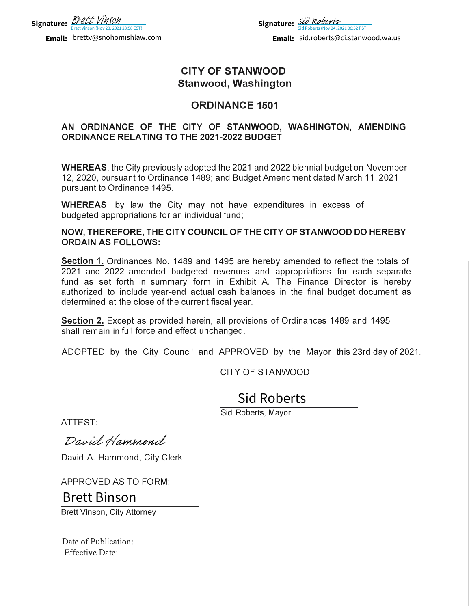

**Email:** brettv@snohomishlaw.com

**Signature:** *SU KODEPTS*<br>Sid Roberts (Nov 24, 2021 06:52 PST) **Email:** sid.roberts@ci.stanwood.wa.us [Sid Roberts](https://na2.documents.adobe.com/verifier?tx=CBJCHBCAABAA_19YoKH8hM-vDFd3Ytb5RM4LCMEAbYX5)

## **CITY OF STANWOOD Stanwood, Washington**

## **ORDINANCE 1501**

### **AN ORDINANCE OF THE CITY OF STANWOOD, WASHINGTON, AMENDING ORDINANCE RELATING TO THE 2021-2022 BUDGET**

**WHEREAS,** the City previously adopted the 2021 and 2022 biennial budget on November 12, 2020, pursuant to Ordinance 1489; and Budget Amendment dated March 11, 2021 pursuant to Ordinance 1495.

**WHEREAS,** by law the City may not have expenditures in excess of budgeted appropriations for an individual fund;

**NOW, THEREFORE, THE CITY COUNCIL OF THE CITY OF STANWOOD DO HEREBY ORDAIN AS FOLLOWS:** 

**Section 1.** Ordinances No. 1489 and 1495 are hereby amended to reflect the totals of 2021 and 2022 amended budgeted revenues and appropriations for each separate fund as set forth in summary form in Exhibit A. The Finance Director is hereby authorized to include year-end actual cash balances in the final budget document as determined at the close of the current fiscal year. **EXECTS ANDERT ANDERT ANDERT ANDERT AND ANDERT AND MEREAS, the City previous and the Dramat to Ordinance 14<br>WHEREAS, the City previous and the Dramat to Ordinance 14<br>WHEREAS, by law the budgeted appropriations for<br>NOW, THE** Email: sid.roberts@ci.stanwood.wa.us<br>
ANWOOD<br>
Vashington<br>
CE 1501<br>
ANWOOD, WASHINGTON, AMENDIN<br>
2 BUDGET<br>
021 and 2022 biennial budget on November<br>
udget Amendment dated March 11, 2021<br>
we expenditures in excess of<br>
3;<br>
FT

**Section 2.** Except as provided herein, all provisions of Ordinances 1489 and 1495 shall remain in full force and effect unchanged.

ADOPTED by the City Council and APPROVED by the Mayor this 23rd day of 2021.

CITY OF STANWOOD

Sid Roberts, Mayor

ATTEST:

David A. Hammond, City Clerk

APPROVED AS TO FORM:

Brett Vinson, City Attorney

Date of Publication: Effective Date: